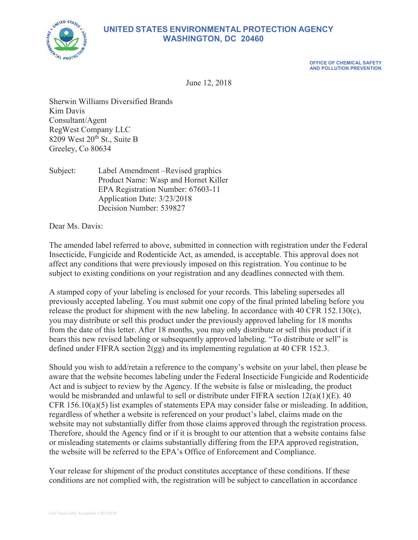

# **UNITED STATES ENVIRONMENTAL PROTECTION AGENCY WASHINGTON, DC 20460**

**OFFICE OF CHEMICAL SAFETY AND POLLUTION PREVENTION**

June 12, 2018

Sherwin Williams Diversified Brands Kim Davis Consultant/Agent RegWest Company LLC 8209 West  $20^{th}$  St., Suite B Greeley, Co 80634

Subject: Label Amendment –Revised graphics Product Name: Wasp and Hornet Killer EPA Registration Number: 67603-11 Application Date: 3/23/2018 Decision Number: 539827

Dear Ms. Davis:

The amended label referred to above, submitted in connection with registration under the Federal Insecticide, Fungicide and Rodenticide Act, as amended, is acceptable. This approval does not affect any conditions that were previously imposed on this registration. You continue to be subject to existing conditions on your registration and any deadlines connected with them.

A stamped copy of your labeling is enclosed for your records. This labeling supersedes all previously accepted labeling. You must submit one copy of the final printed labeling before you release the product for shipment with the new labeling. In accordance with 40 CFR 152.130(c), you may distribute or sell this product under the previously approved labeling for 18 months from the date of this letter. After 18 months, you may only distribute or sell this product if it bears this new revised labeling or subsequently approved labeling. "To distribute or sell" is defined under FIFRA section 2(gg) and its implementing regulation at 40 CFR 152.3.

Should you wish to add/retain a reference to the company's website on your label, then please be aware that the website becomes labeling under the Federal Insecticide Fungicide and Rodenticide Act and is subject to review by the Agency. If the website is false or misleading, the product would be misbranded and unlawful to sell or distribute under FIFRA section  $12(a)(1)(E)$ . 40 CFR 156.10(a)(5) list examples of statements EPA may consider false or misleading. In addition, regardless of whether a website is referenced on your product's label, claims made on the website may not substantially differ from those claims approved through the registration process. Therefore, should the Agency find or if it is brought to our attention that a website contains false or misleading statements or claims substantially differing from the EPA approved registration, the website will be referred to the EPA's Office of Enforcement and Compliance.

Your release for shipment of the product constitutes acceptance of these conditions. If these conditions are not complied with, the registration will be subject to cancellation in accordance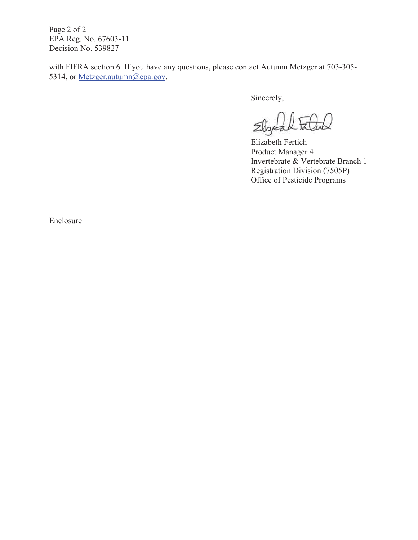Page 2 of 2 EPA Reg. No. 67603-11 Decision No. 539827

with FIFRA section 6. If you have any questions, please contact Autumn Metzger at 703-305- 5314, or Metzger.autumn@epa.gov.

Sincerely,

Elizabeth Fital

Elizabeth Fertich Product Manager 4 Invertebrate & Vertebrate Branch 1 Registration Division (7505P) Office of Pesticide Programs

Enclosure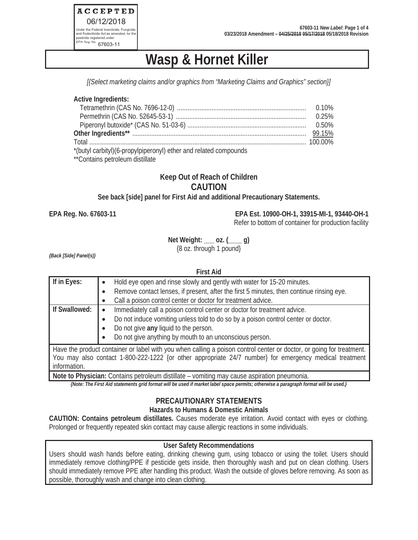

# **Wasp & Hornet Killer**

*[{Select marketing claims and/or graphics from "Marketing Claims and Graphics" section}]* 

| Active Ingredients:                                              |  |
|------------------------------------------------------------------|--|
|                                                                  |  |
|                                                                  |  |
|                                                                  |  |
|                                                                  |  |
|                                                                  |  |
| *(butyl carbityl)(6-propylpiperonyl) ether and related compounds |  |

'Contains petroleum distillate

#### **Keep Out of Reach of Children CAUTION**

**See back [side] panel for First Aid and additional Precautionary Statements.** 

**EPA Reg. No. 67603-11 EPA Est. 10900-OH-1, 33915-MI-1, 93440-OH-1** Refer to bottom of container for production facility

> **Net Weight: \_\_\_ oz. (\_\_\_\_ g)** {8 oz. through 1 pound}

*{Back [Side] Panel(s)}*

#### **First Aid**

| If in Eyes:   | Hold eye open and rinse slowly and gently with water for 15-20 minutes.<br>Remove contact lenses, if present, after the first 5 minutes, then continue rinsing eye.<br>Call a poison control center or doctor for treatment advice.                                            |
|---------------|--------------------------------------------------------------------------------------------------------------------------------------------------------------------------------------------------------------------------------------------------------------------------------|
| If Swallowed: | Immediately call a poison control center or doctor for treatment advice.<br>$\bullet$<br>Do not induce vomiting unless told to do so by a poison control center or doctor.<br>Do not give any liquid to the person.<br>Do not give anything by mouth to an unconscious person. |
| information.  | Have the product container or label with you when calling a poison control center or doctor, or going for treatment.<br>You may also contact 1-800-222-1222 {or other appropriate 24/7 number} for emergency medical treatment                                                 |

**Note to Physician:** Contains petroleum distillate – vomiting may cause aspiration pneumonia.

*{Note: The First Aid statements grid format will be used if market label space permits; otherwise a paragraph format will be used.}*

## **PRECAUTIONARY STATEMENTS**

#### **Hazards to Humans & Domestic Animals**

**CAUTION: Contains petroleum distillates.** Causes moderate eye irritation. Avoid contact with eyes or clothing. Prolonged or frequently repeated skin contact may cause allergic reactions in some individuals.

#### **User Safety Recommendations**

Users should wash hands before eating, drinking chewing gum, using tobacco or using the toilet. Users should immediately remove clothing/PPE if pesticide gets inside, then thoroughly wash and put on clean clothing. Users should immediately remove PPE after handling this product. Wash the outside of gloves before removing. As soon as possible, thoroughly wash and change into clean clothing.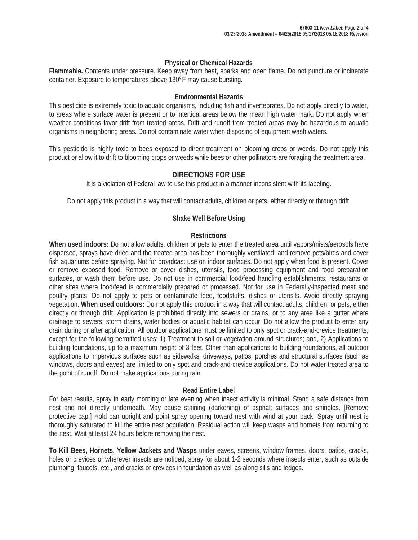#### **Physical or Chemical Hazards**

**Flammable.** Contents under pressure. Keep away from heat, sparks and open flame. Do not puncture or incinerate container. Exposure to temperatures above 130°F may cause bursting.

#### **Environmental Hazards**

This pesticide is extremely toxic to aquatic organisms, including fish and invertebrates. Do not apply directly to water, to areas where surface water is present or to intertidal areas below the mean high water mark. Do not apply when weather conditions favor drift from treated areas. Drift and runoff from treated areas may be hazardous to aquatic organisms in neighboring areas. Do not contaminate water when disposing of equipment wash waters.

This pesticide is highly toxic to bees exposed to direct treatment on blooming crops or weeds. Do not apply this product or allow it to drift to blooming crops or weeds while bees or other pollinators are foraging the treatment area.

#### **DIRECTIONS FOR USE**

It is a violation of Federal law to use this product in a manner inconsistent with its labeling.

Do not apply this product in a way that will contact adults, children or pets, either directly or through drift.

#### **Shake Well Before Using**

#### **Restrictions**

**When used indoors:** Do not allow adults, children or pets to enter the treated area until vapors/mists/aerosols have dispersed, sprays have dried and the treated area has been thoroughly ventilated; and remove pets/birds and cover fish aquariums before spraying. Not for broadcast use on indoor surfaces. Do not apply when food is present. Cover or remove exposed food. Remove or cover dishes, utensils, food processing equipment and food preparation surfaces, or wash them before use. Do not use in commercial food/feed handling establishments, restaurants or other sites where food/feed is commercially prepared or processed. Not for use in Federally-inspected meat and poultry plants. Do not apply to pets or contaminate feed, foodstuffs, dishes or utensils. Avoid directly spraying vegetation. **When used outdoors:** Do not apply this product in a way that will contact adults, children, or pets, either directly or through drift. Application is prohibited directly into sewers or drains, or to any area like a gutter where drainage to sewers, storm drains, water bodies or aquatic habitat can occur. Do not allow the product to enter any drain during or after application. All outdoor applications must be limited to only spot or crack-and-crevice treatments, except for the following permitted uses: 1) Treatment to soil or vegetation around structures; and, 2) Applications to building foundations, up to a maximum height of 3 feet. Other than applications to building foundations, all outdoor applications to impervious surfaces such as sidewalks, driveways, patios, porches and structural surfaces (such as windows, doors and eaves) are limited to only spot and crack-and-crevice applications. Do not water treated area to the point of runoff. Do not make applications during rain.

#### **Read Entire Label**

For best results, spray in early morning or late evening when insect activity is minimal. Stand a safe distance from nest and not directly underneath. May cause staining (darkening) of asphalt surfaces and shingles. [Remove protective cap.] Hold can upright and point spray opening toward nest with wind at your back. Spray until nest is thoroughly saturated to kill the entire nest population. Residual action will keep wasps and hornets from returning to the nest. Wait at least 24 hours before removing the nest.

**To Kill Bees, Hornets, Yellow Jackets and Wasps** under eaves, screens, window frames, doors, patios, cracks, holes or crevices or wherever insects are noticed, spray for about 1-2 seconds where insects enter, such as outside plumbing, faucets, etc., and cracks or crevices in foundation as well as along sills and ledges.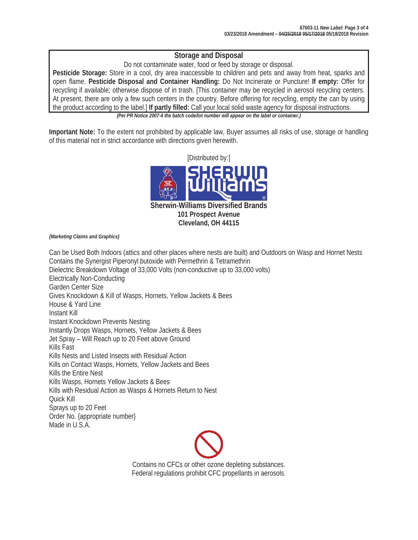### **Storage and Disposal**

Do not contaminate water, food or feed by storage or disposal.

**Pesticide Storage:** Store in a cool, dry area inaccessible to children and pets and away from heat, sparks and open flame. **Pesticide Disposal and Container Handling:** Do Not Incinerate or Puncture! **If empty:** Offer for recycling if available; otherwise dispose of in trash. [This container may be recycled in aerosol recycling centers. At present, there are only a few such centers in the country. Before offering for recycling, empty the can by using the product according to the label.] **If partly filled:** Call your local solid waste agency for disposal instructions. *{Per PR Notice 2007-4 the batch code/lot number will appear on the label or container.}* 

**Important Note:** To the extent not prohibited by applicable law, Buyer assumes all risks of use, storage or handling of this material not in strict accordance with directions given herewith.



*{Marketing Claims and Graphics}*

Can be Used Both Indoors (attics and other places where nests are built) and Outdoors on Wasp and Hornet Nests Contains the Synergist Piperonyl butoxide with Permethrin & Tetramethrin Dielectric Breakdown Voltage of 33,000 Volts (non-conductive up to 33,000 volts) Electrically Non-Conducting Garden Center Size Gives Knockdown & Kill of Wasps, Hornets, Yellow Jackets & Bees House & Yard Line Instant Kill Instant Knockdown Prevents Nesting Instantly Drops Wasps, Hornets, Yellow Jackets & Bees Jet Spray – Will Reach up to 20 Feet above Ground Kills Fast Kills Nests and Listed Insects with Residual Action Kills on Contact Wasps, Hornets, Yellow Jackets and Bees Kills the Entire Nest Kills Wasps, Hornets Yellow Jackets & Bees Kills with Residual Action as Wasps & Hornets Return to Nest Quick Kill Sprays up to 20 Feet Order No. {appropriate number} Made in U.S.A.



Contains no CFCs or other ozone depleting substances. Federal regulations prohibit CFC propellants in aerosols.